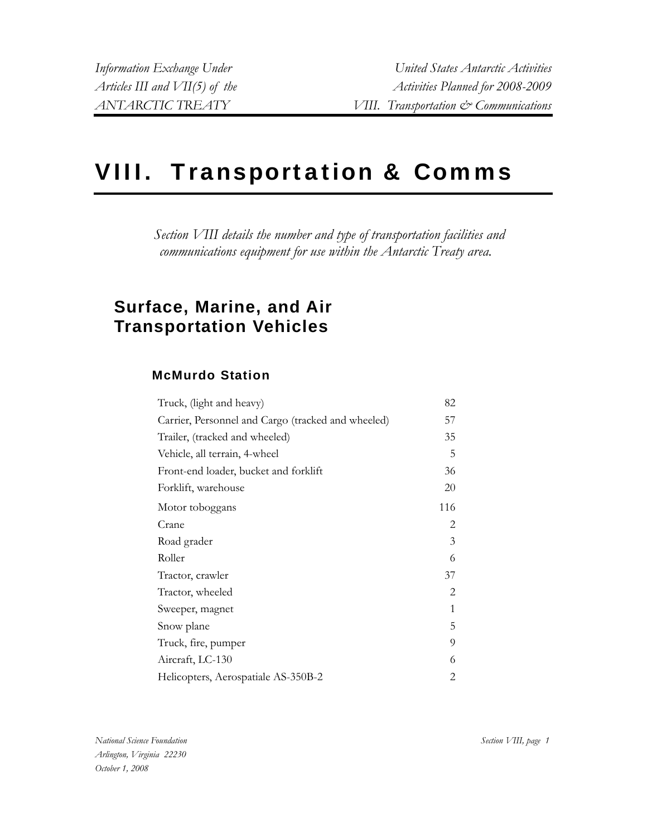# VIII. Transportation & Comms

*Section VIII details the number and type of transportation facilities and communications equipment for use within the Antarctic Treaty area.* 

# **Surface, Marine, and Air Transportation Vehicles**

# **McMurdo Station**

| Truck, (light and heavy)                           | 82  |
|----------------------------------------------------|-----|
| Carrier, Personnel and Cargo (tracked and wheeled) | 57  |
| Trailer, (tracked and wheeled)                     | 35  |
| Vehicle, all terrain, 4-wheel                      | 5   |
| Front-end loader, bucket and forklift              | 36  |
| Forklift, warehouse                                | 20  |
| Motor toboggans                                    | 116 |
| Crane                                              | 2   |
| Road grader                                        | 3   |
| Roller                                             | 6   |
| Tractor, crawler                                   | 37  |
| Tractor, wheeled                                   | 2   |
| Sweeper, magnet                                    | 1   |
| Snow plane                                         | 5   |
| Truck, fire, pumper                                | 9   |
| Aircraft, LC-130                                   | 6   |
| Helicopters, Aerospatiale AS-350B-2                | 2   |

*National Science Foundation Arlington, Virginia 22230 October 1, 2008*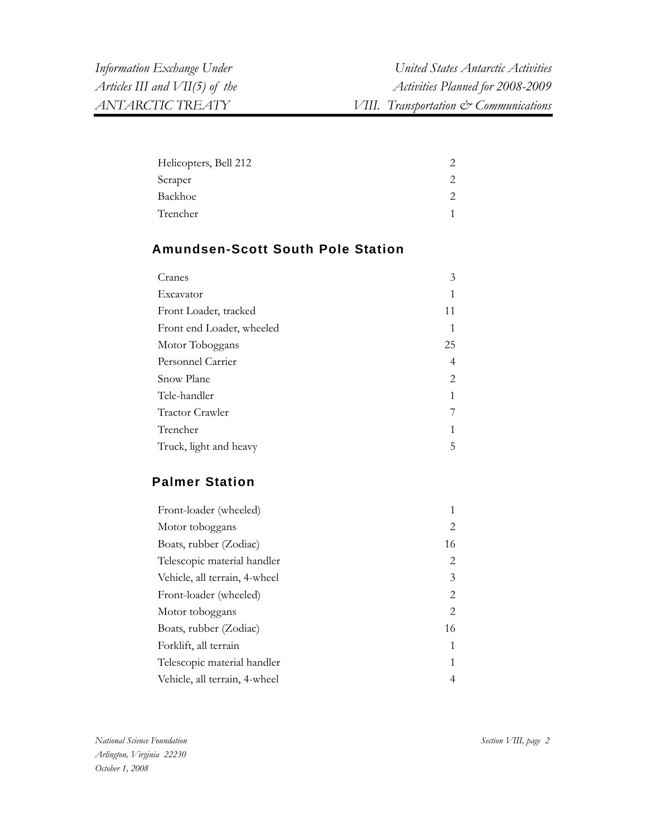| Helicopters, Bell 212 |  |
|-----------------------|--|
| Scraper               |  |
| Backhoe               |  |
| Trencher              |  |

# **Amundsen-Scott South Pole Station**

| Cranes                    | 3  |
|---------------------------|----|
| Excavator                 |    |
| Front Loader, tracked     | 11 |
| Front end Loader, wheeled | 1  |
| Motor Toboggans           | 25 |
| Personnel Carrier         | 4  |
| Snow Plane                | 2  |
| Tele-handler              | 1  |
| Tractor Crawler           |    |
| Trencher                  | 1  |
| Truck, light and heavy    | 5  |

# **Palmer Station**

| Front-loader (wheeled)        |    |
|-------------------------------|----|
| Motor toboggans               | 2  |
| Boats, rubber (Zodiac)        | 16 |
| Telescopic material handler   | 2  |
| Vehicle, all terrain, 4-wheel | 3  |
| Front-loader (wheeled)        | 2  |
| Motor toboggans               | 2  |
| Boats, rubber (Zodiac)        | 16 |
| Forklift, all terrain         | 1  |
| Telescopic material handler   | 1  |
| Vehicle, all terrain, 4-wheel | 4  |
|                               |    |

*National Science Foundation Arlington, Virginia 22230 October 1, 2008* 

*Section VIII, page 2*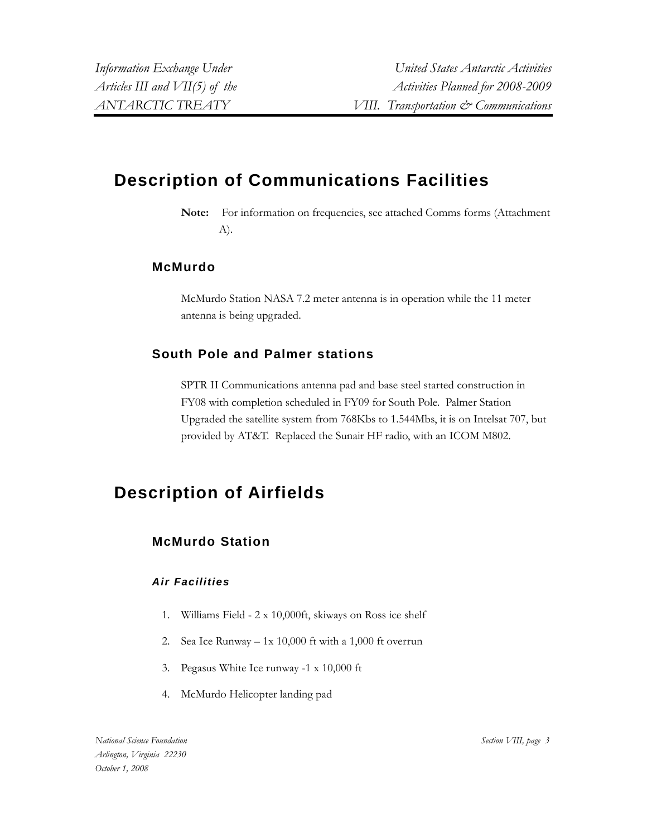# **Description of Communications Facilities**

**Note:** For information on frequencies, see attached Comms forms (Attachment A).

### **McMurdo**

McMurdo Station NASA 7.2 meter antenna is in operation while the 11 meter antenna is being upgraded.

# **South Pole and Palmer stations**

SPTR II Communications antenna pad and base steel started construction in FY08 with completion scheduled in FY09 for South Pole. Palmer Station Upgraded the satellite system from 768Kbs to 1.544Mbs, it is on Intelsat 707, but provided by AT&T. Replaced the Sunair HF radio, with an ICOM M802.

# **Description of Airfields**

# **McMurdo Station**

#### *Air Facilities*

- 1. Williams Field 2 x 10,000ft, skiways on Ross ice shelf
- 2. Sea Ice Runway 1x 10,000 ft with a 1,000 ft overrun
- 3. Pegasus White Ice runway -1 x 10,000 ft
- 4. McMurdo Helicopter landing pad

*National Science Foundation Arlington, Virginia 22230 October 1, 2008*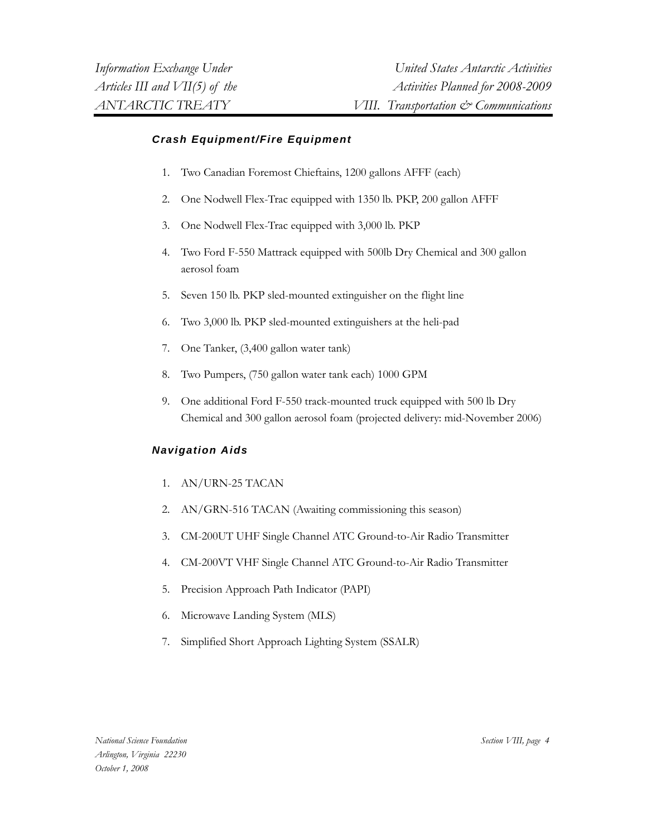#### *Crash Equipment/Fire Equipment*

- 1. Two Canadian Foremost Chieftains, 1200 gallons AFFF (each)
- 2. One Nodwell Flex-Trac equipped with 1350 lb. PKP, 200 gallon AFFF
- 3. One Nodwell Flex-Trac equipped with 3,000 lb. PKP
- 4. Two Ford F-550 Mattrack equipped with 500lb Dry Chemical and 300 gallon aerosol foam
- 5. Seven 150 lb. PKP sled-mounted extinguisher on the flight line
- 6. Two 3,000 lb. PKP sled-mounted extinguishers at the heli-pad
- 7. One Tanker, (3,400 gallon water tank)
- 8. Two Pumpers, (750 gallon water tank each) 1000 GPM
- 9. One additional Ford F-550 track-mounted truck equipped with 500 lb Dry Chemical and 300 gallon aerosol foam (projected delivery: mid-November 2006)

#### *Navigation Aids*

- 1. AN/URN-25 TACAN
- 2. AN/GRN-516 TACAN (Awaiting commissioning this season)
- 3. CM-200UT UHF Single Channel ATC Ground-to-Air Radio Transmitter
- 4. CM-200VT VHF Single Channel ATC Ground-to-Air Radio Transmitter
- 5. Precision Approach Path Indicator (PAPI)
- 6. Microwave Landing System (MLS)
- 7. Simplified Short Approach Lighting System (SSALR)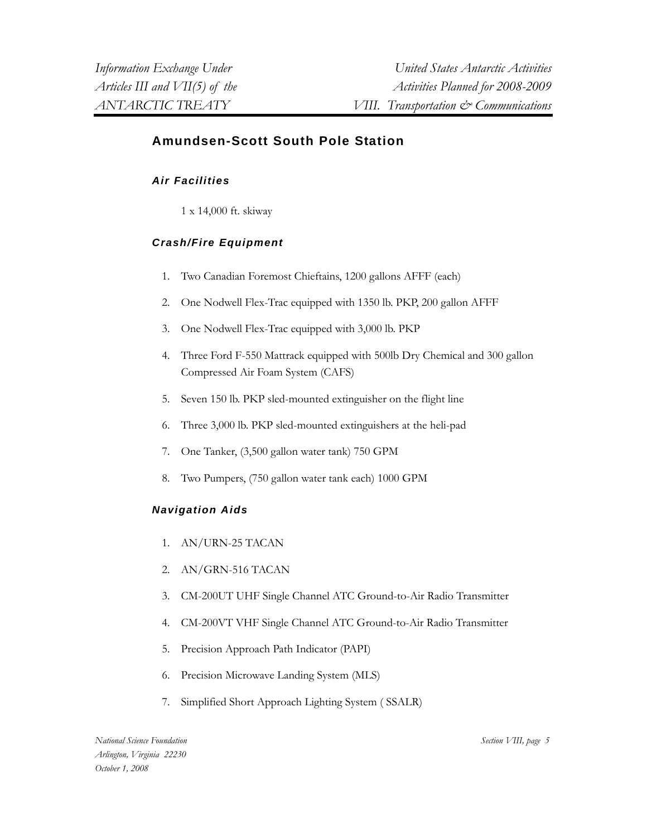# **Amundsen-Scott South Pole Station**

#### *Air Facilities*

1 x 14,000 ft. skiway

### *Crash/Fire Equipment*

- 1. Two Canadian Foremost Chieftains, 1200 gallons AFFF (each)
- 2. One Nodwell Flex-Trac equipped with 1350 lb. PKP, 200 gallon AFFF
- 3. One Nodwell Flex-Trac equipped with 3,000 lb. PKP
- 4. Three Ford F-550 Mattrack equipped with 500lb Dry Chemical and 300 gallon Compressed Air Foam System (CAFS)
- 5. Seven 150 lb. PKP sled-mounted extinguisher on the flight line
- 6. Three 3,000 lb. PKP sled-mounted extinguishers at the heli-pad
- 7. One Tanker, (3,500 gallon water tank) 750 GPM
- 8. Two Pumpers, (750 gallon water tank each) 1000 GPM

#### *Navigation Aids*

- 1. AN/URN-25 TACAN
- 2. AN/GRN-516 TACAN
- 3. CM-200UT UHF Single Channel ATC Ground-to-Air Radio Transmitter
- 4. CM-200VT VHF Single Channel ATC Ground-to-Air Radio Transmitter
- 5. Precision Approach Path Indicator (PAPI)
- 6. Precision Microwave Landing System (MLS)
- 7. Simplified Short Approach Lighting System ( SSALR)